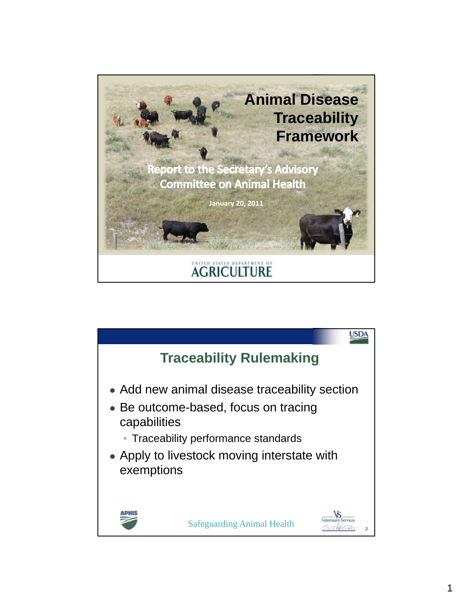

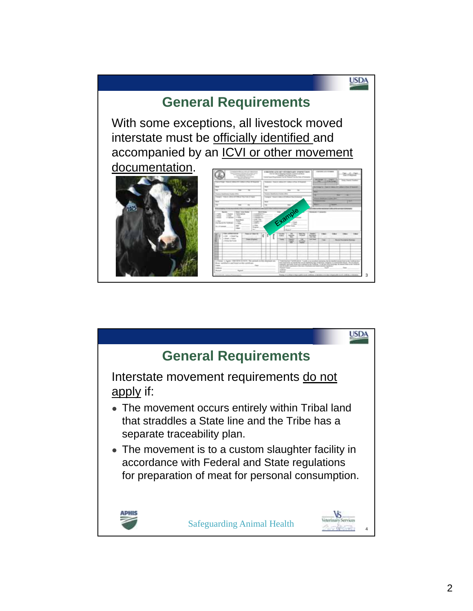## **General Requirements**

With some exceptions, all livestock moved interstate must be officially identified and accompanied by an **ICVI or other movement** 





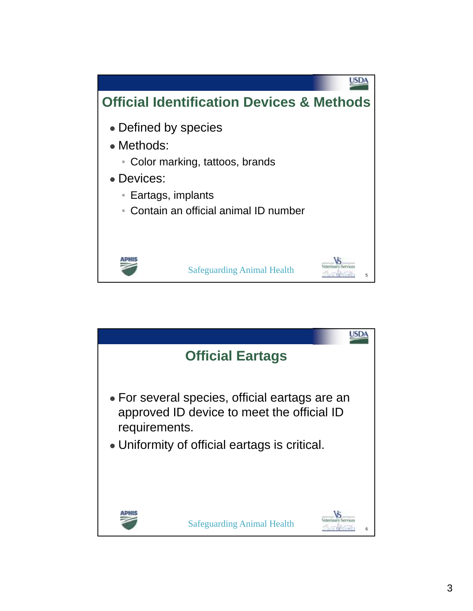

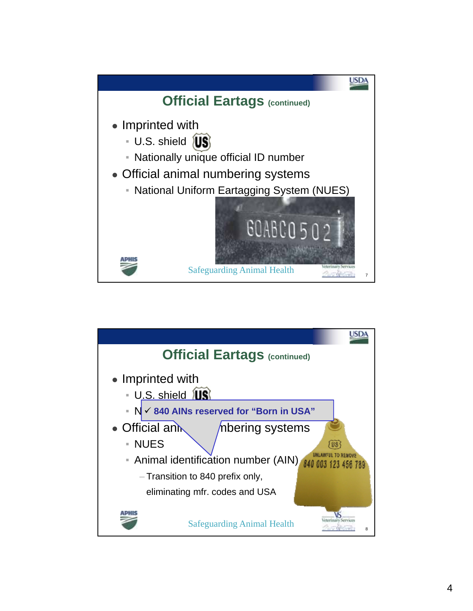

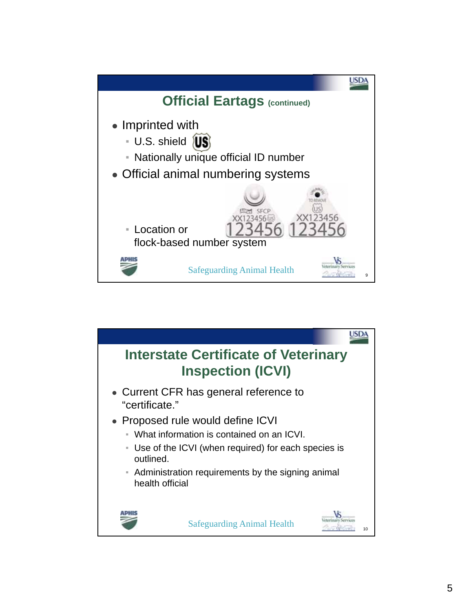

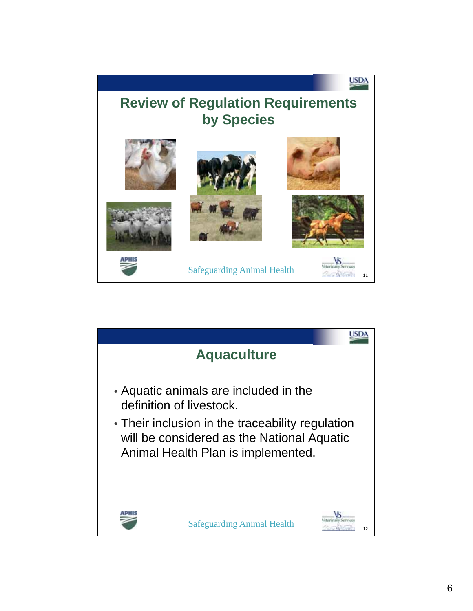## **USDA Review of Regulation Requirements by Species** Safeguarding Animal Health Vertical Services

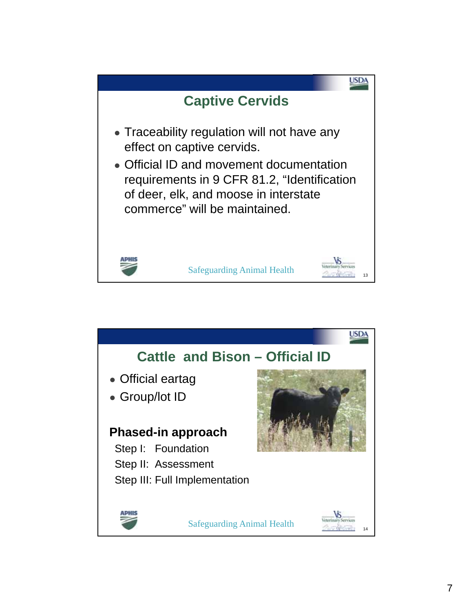

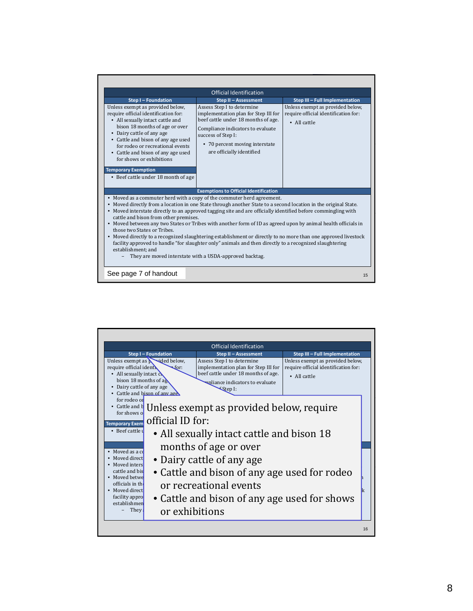| Official Identification                                                                                                                                                                                                                                                                                                                                                                                                                                                                                                                                                                                                                                                                                                                                                                                           |                                                                                                                                                                                                                                     |                                                                                          |  |  |  |  |
|-------------------------------------------------------------------------------------------------------------------------------------------------------------------------------------------------------------------------------------------------------------------------------------------------------------------------------------------------------------------------------------------------------------------------------------------------------------------------------------------------------------------------------------------------------------------------------------------------------------------------------------------------------------------------------------------------------------------------------------------------------------------------------------------------------------------|-------------------------------------------------------------------------------------------------------------------------------------------------------------------------------------------------------------------------------------|------------------------------------------------------------------------------------------|--|--|--|--|
| Step I - Foundation                                                                                                                                                                                                                                                                                                                                                                                                                                                                                                                                                                                                                                                                                                                                                                                               | Step II - Assessment                                                                                                                                                                                                                | Step III - Full Implementation                                                           |  |  |  |  |
| Unless exempt as provided below,<br>require official identification for:<br>• All sexually intact cattle and<br>bison 18 months of age or over<br>• Dairy cattle of any age<br>• Cattle and bison of any age used<br>for rodeo or recreational events<br>• Cattle and bison of any age used<br>for shows or exhibitions<br><b>Temporary Exemption</b>                                                                                                                                                                                                                                                                                                                                                                                                                                                             | Assess Step I to determine<br>implementation plan for Step III for<br>beef cattle under 18 months of age.<br>Compliance indicators to evaluate<br>success of Step I:<br>• 70 percent moving interstate<br>are officially identified | Unless exempt as provided below.<br>require official identification for:<br>• All cattle |  |  |  |  |
| • Beef cattle under 18 month of age                                                                                                                                                                                                                                                                                                                                                                                                                                                                                                                                                                                                                                                                                                                                                                               | <b>Exemptions to Official Identification</b>                                                                                                                                                                                        |                                                                                          |  |  |  |  |
| • Moved as a commuter herd with a copy of the commuter herd agreement.<br>• Moved directly from a location in one State through another State to a second location in the original State.<br>• Moved interstate directly to an approved tagging site and are officially identified before commingling with<br>cattle and bison from other premises.<br>• Moved between any two States or Tribes with another form of ID as agreed upon by animal health officials in<br>those two States or Tribes.<br>• Moved directly to a recognized slaughtering establishment or directly to no more than one approved livestock<br>facility approved to handle "for slaughter only" animals and then directly to a recognized slaughtering<br>establishment: and<br>They are moved interstate with a USDA-approved backtag. |                                                                                                                                                                                                                                     |                                                                                          |  |  |  |  |
| See page 7 of handout                                                                                                                                                                                                                                                                                                                                                                                                                                                                                                                                                                                                                                                                                                                                                                                             |                                                                                                                                                                                                                                     | 15                                                                                       |  |  |  |  |

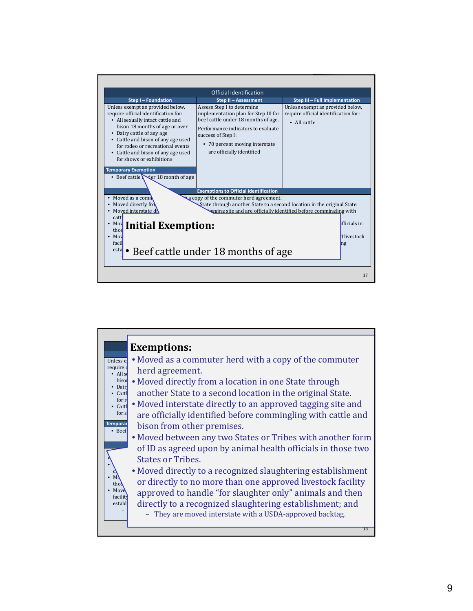

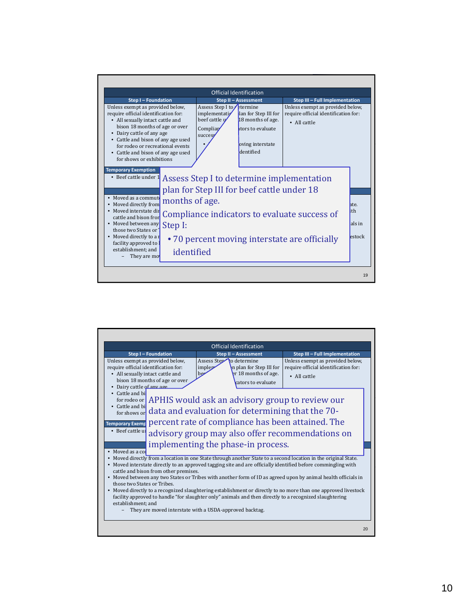|                                                                                                                                                                                                                                                                                                                                    | Official Identification                 |                                                                          |                                                                                                                    |                                                                                                                                           |                                  |  |  |  |
|------------------------------------------------------------------------------------------------------------------------------------------------------------------------------------------------------------------------------------------------------------------------------------------------------------------------------------|-----------------------------------------|--------------------------------------------------------------------------|--------------------------------------------------------------------------------------------------------------------|-------------------------------------------------------------------------------------------------------------------------------------------|----------------------------------|--|--|--|
| <b>Step I-Foundation</b>                                                                                                                                                                                                                                                                                                           |                                         |                                                                          | Step II - Assessment                                                                                               | Step III - Full Implementation                                                                                                            |                                  |  |  |  |
| Unless exempt as provided below.<br>require official identification for:<br>• All sexually intact cattle and<br>bison 18 months of age or over<br>Dairy cattle of any age<br>$\bullet$<br>• Cattle and bison of any age used<br>for rodeo or recreational events<br>• Cattle and bison of any age used<br>for shows or exhibitions |                                         | Assess Step I to<br>implementati<br>beef cattle v<br>Compliar<br>success | <b>Etermine</b><br>lan for Step III for<br>18 months of age.<br>ators to evaluate<br>oving interstate<br>dentified | Unless exempt as provided below.<br>require official identification for:<br>• All cattle                                                  |                                  |  |  |  |
| <b>Temporary Exemption</b><br>• Beef cattle under 1<br>• Moved as a commute<br>Moved directly from<br>Moved interstate dir<br>$\bullet$<br>cattle and bison fron<br>• Moved between any<br>those two States or<br>• Moved directly to a r<br>facility approved to<br>establishment: and<br>They are mo                             | months of age.<br>Step I:<br>identified |                                                                          | plan for Step III for beef cattle under 18                                                                         | Assess Step I to determine implementation<br>Compliance indicators to evaluate success of<br>•70 percent moving interstate are officially | hte.<br>lith<br>als in<br>estock |  |  |  |

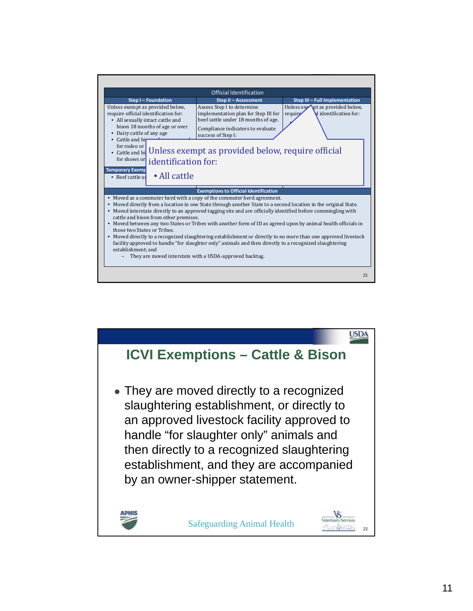

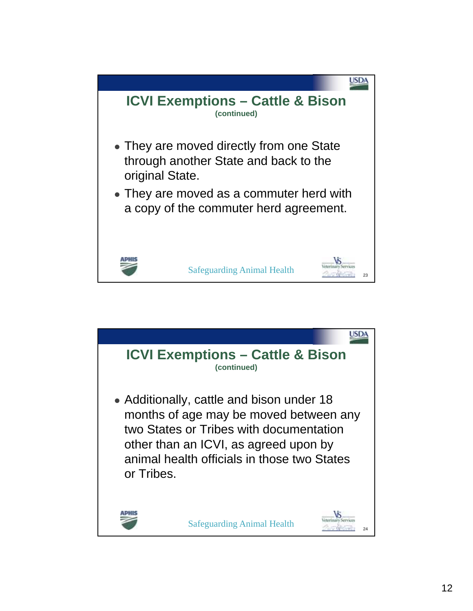

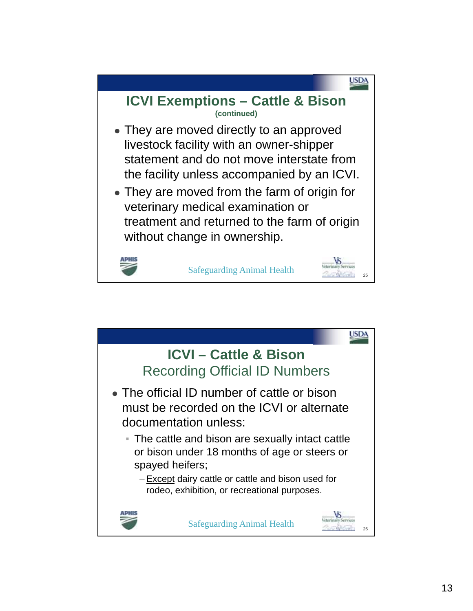

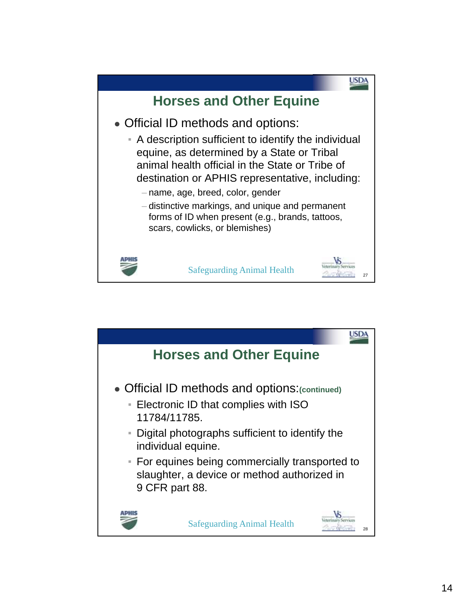

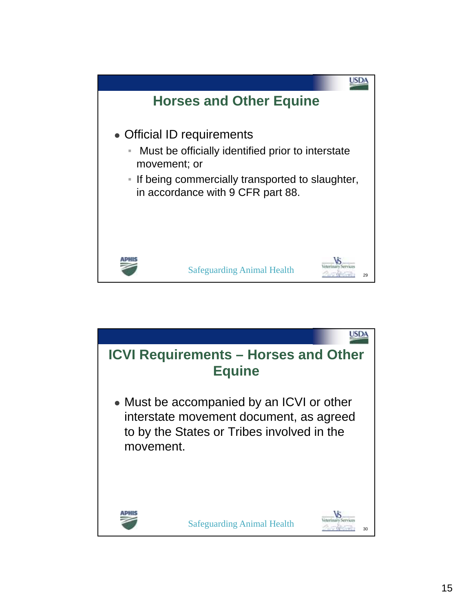

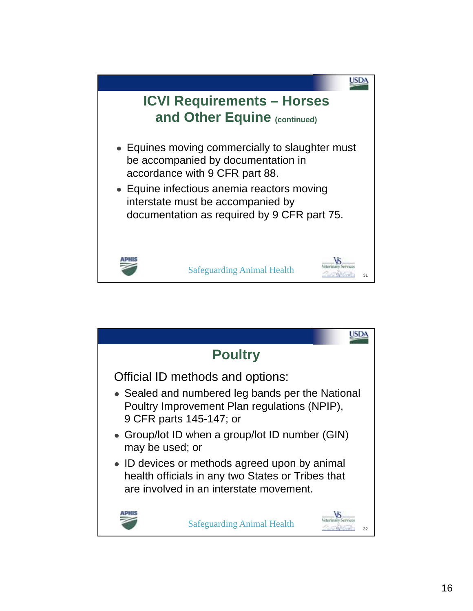

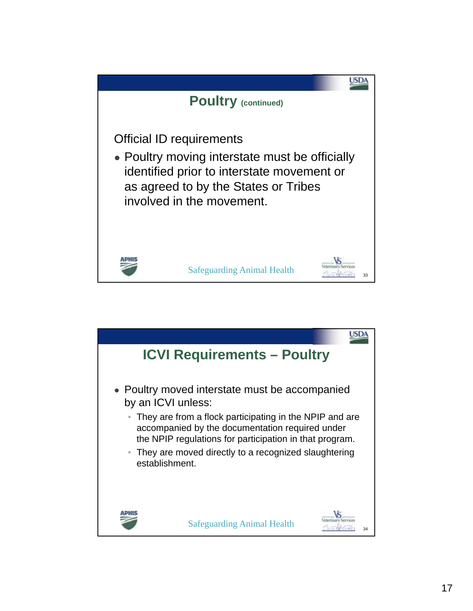

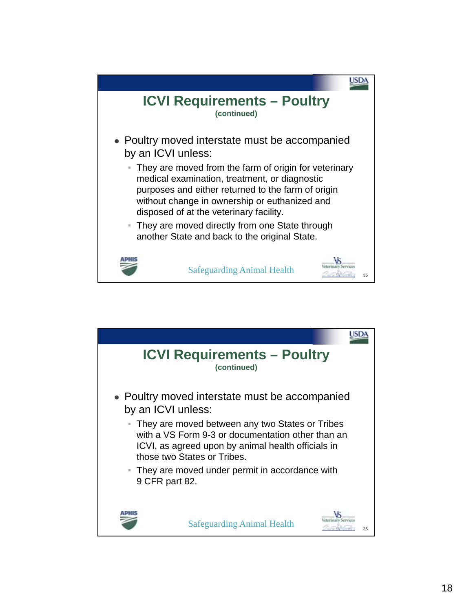

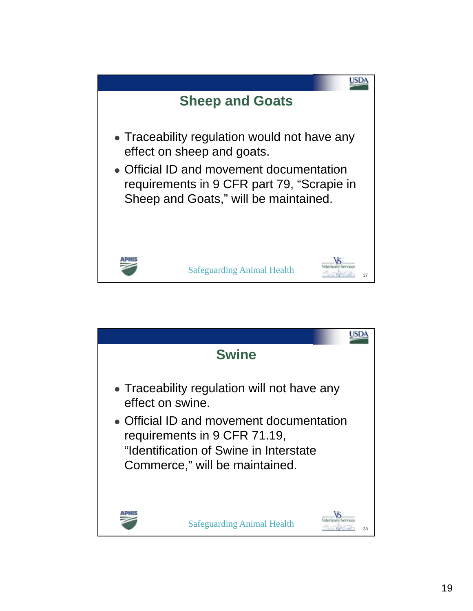

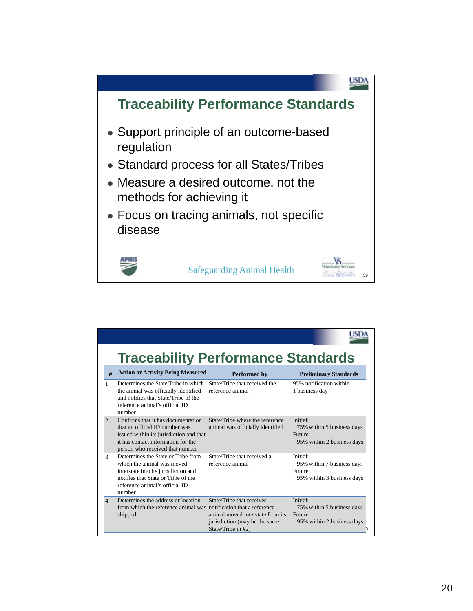

| <b>Traceability Performance Standards</b> |                                                                                                                                                                                             |                                                                                                                      |                                                                                             |  |  |  |
|-------------------------------------------|---------------------------------------------------------------------------------------------------------------------------------------------------------------------------------------------|----------------------------------------------------------------------------------------------------------------------|---------------------------------------------------------------------------------------------|--|--|--|
| #                                         | <b>Action or Activity Being Measured</b>                                                                                                                                                    | <b>Performed by</b>                                                                                                  | <b>Preliminary Standards</b>                                                                |  |  |  |
| 1                                         | Determines the State/Tribe in which<br>the animal was officially identified<br>and notifies that State/Tribe of the<br>reference animal's official ID<br>number                             | State/Tribe that received the<br>reference animal                                                                    | 95% notification within<br>1 business day                                                   |  |  |  |
| $\overline{2}$                            | Confirms that it has documentation<br>that an official ID number was<br>issued within its jurisdiction and that<br>it has contact information for the<br>person who received that number    | State/Tribe where the reference<br>animal was officially identified                                                  | Initial <sup>.</sup><br>75% within 5 business days<br>Future:<br>95% within 2 business days |  |  |  |
| 3                                         | Determines the State or Tribe from<br>which the animal was moved<br>interstate into its jurisdiction and<br>notifies that State or Tribe of the<br>reference animal's official ID<br>number | State/Tribe that received a<br>reference animal                                                                      | Initial:<br>95% within 7 business days<br>Future:<br>95% within 3 business days             |  |  |  |
| $\overline{4}$                            | Determines the address or location<br>from which the reference animal was notification that a reference<br>shipped                                                                          | State/Tribe that receives<br>animal moved interstate from its<br>jurisdiction (may be the same<br>State/Tribe in #2) | Initial:<br>75% within 5 business days<br>Future:<br>95% within 2 business days             |  |  |  |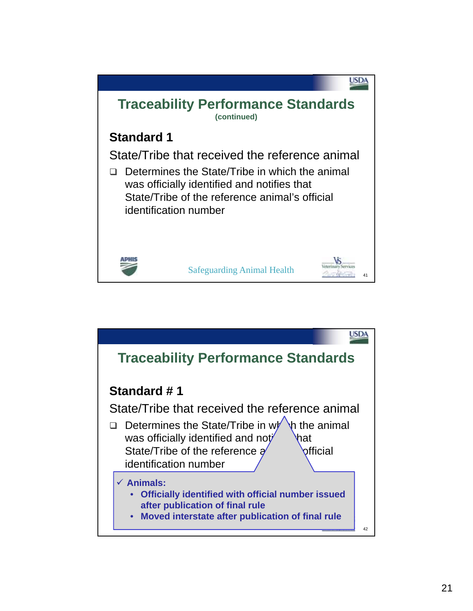

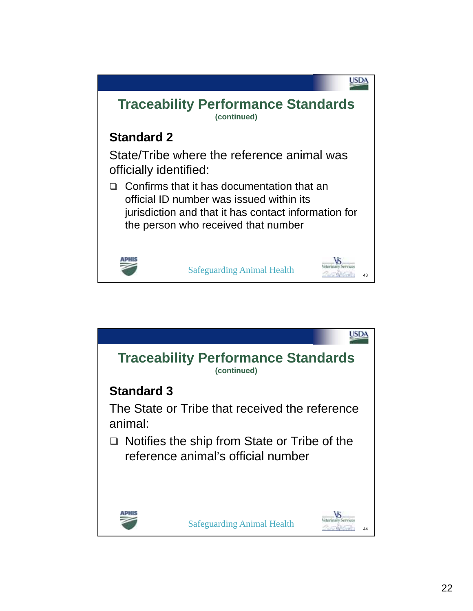

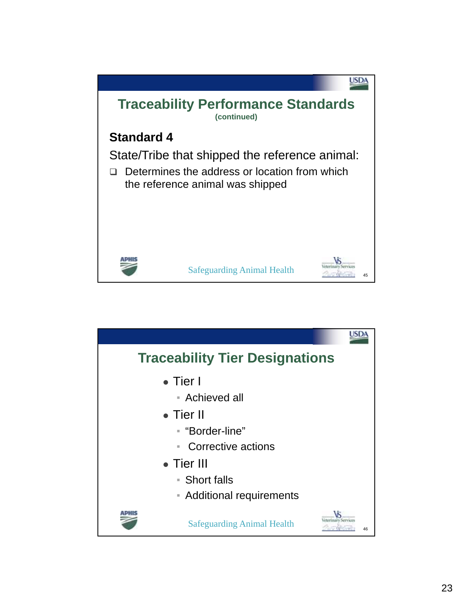

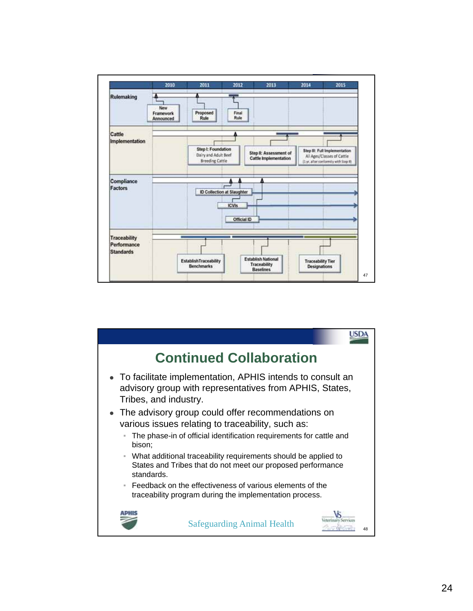